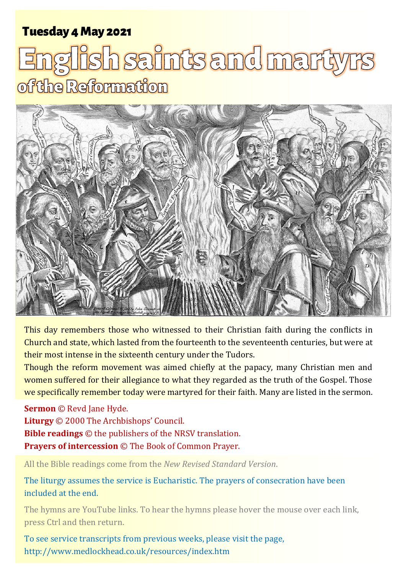# Tuesday 4 May 2021

# lish saints and mart; of the Reformation



This day remembers those who witnessed to their Christian faith during the conflicts in Church and state, which lasted from the fourteenth to the seventeenth centuries, but were at their most intense in the sixteenth century under the Tudors.

Though the reform movement was aimed chiefly at the papacy, many Christian men and women suffered for their allegiance to what they regarded as the truth of the Gospel. Those we specifically remember today were martyred for their faith. Many are listed in the sermon.

**Sermon** © Revd Jane Hyde. **Liturgy** © 2000 The Archbishops' Council. **Bible readings** © the publishers of the NRSV translation. **Prayers of intercession** © The Book of Common Prayer.

All the Bible readings come from the *New Revised Standard Version*.

The liturgy assumes the service is Eucharistic. The prayers of consecration have been included at the end.

The hymns are YouTube links. To hear the hymns please hover the mouse over each link, press Ctrl and then return.

To see service transcripts from previous weeks, please visit the page, [http://www.medlockhead.co.uk/resources/index.htm](about:blank)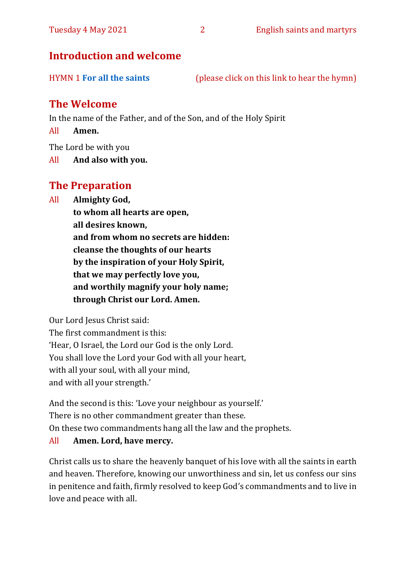#### Tuesday 4 May 2021 2 **2** English saints and martyrs

# **Introduction and welcome**

| <b>HYMN 1 For all the saints</b> | (please click on this link to hear the hymn) |  |
|----------------------------------|----------------------------------------------|--|
|----------------------------------|----------------------------------------------|--|

# **The Welcome**

In the name of the Father, and of the Son, and of the Holy Spirit

All **Amen.**

The Lord be with you

All **And also with you.**

# **The Preparation**

All **Almighty God,**

**to whom all hearts are open, all desires known, and from whom no secrets are hidden: cleanse the thoughts of our hearts by the inspiration of your Holy Spirit, that we may perfectly love you, and worthily magnify your holy name; through Christ our Lord. Amen.**

Our Lord Jesus Christ said:

The first commandment is this: 'Hear, O Israel, the Lord our God is the only Lord. You shall love the Lord your God with all your heart, with all your soul, with all your mind, and with all your strength.'

And the second is this: 'Love your neighbour as yourself.' There is no other commandment greater than these. On these two commandments hang all the law and the prophets.

#### All **Amen. Lord, have mercy.**

Christ calls us to share the heavenly banquet of his love with all the saints in earth and heaven. Therefore, knowing our unworthiness and sin, let us confess our sins in penitence and faith, firmly resolved to keep God's commandments and to live in love and peace with all.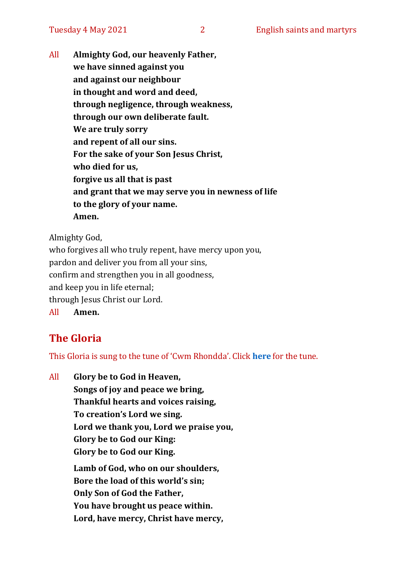All **Almighty God, our heavenly Father, we have sinned against you and against our neighbour in thought and word and deed, through negligence, through weakness, through our own deliberate fault. We are truly sorry and repent of all our sins. For the sake of your Son Jesus Christ, who died for us, forgive us all that is past and grant that we may serve you in newness of life to the glory of your name. Amen.**

Almighty God,

who forgives all who truly repent, have mercy upon you, pardon and deliver you from all your sins, confirm and strengthen you in all goodness, and keep you in life eternal; through Jesus Christ our Lord. All **Amen.**

# **The Gloria**

This Gloria is sung to the tune of 'Cwm Rhondda'. Click **[here](about:blank)** for the tune.

All **Glory be to God in Heaven, Songs of joy and peace we bring, Thankful hearts and voices raising, To creation's Lord we sing. Lord we thank you, Lord we praise you, Glory be to God our King: Glory be to God our King. Lamb of God, who on our shoulders, Bore the load of this world's sin; Only Son of God the Father, You have brought us peace within. Lord, have mercy, Christ have mercy,**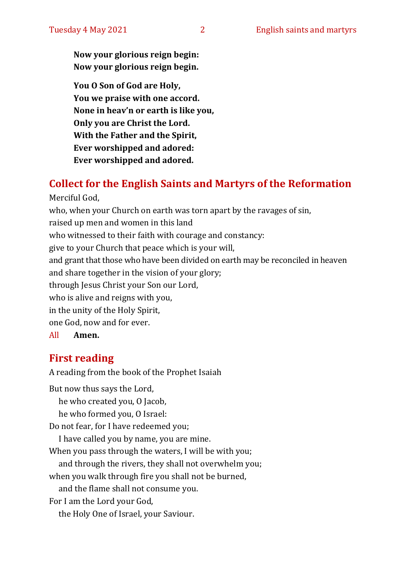**Now your glorious reign begin: Now your glorious reign begin.**

**You O Son of God are Holy, You we praise with one accord. None in heav'n or earth is like you, Only you are Christ the Lord. With the Father and the Spirit, Ever worshipped and adored: Ever worshipped and adored.**

# **Collect for the English Saints and Martyrs of the Reformation**

Merciful God, who, when your Church on earth was torn apart by the ravages of sin, raised up men and women in this land who witnessed to their faith with courage and constancy: give to your Church that peace which is your will, and grant that those who have been divided on earth may be reconciled in heaven and share together in the vision of your glory; through Jesus Christ your Son our Lord, who is alive and reigns with you, in the unity of the Holy Spirit, one God, now and for ever. All **Amen.**

# **First reading**

A reading from the book of the Prophet Isaiah

But now thus says the Lord, he who created you, O Jacob, he who formed you, O Israel: Do not fear, for I have redeemed you; I have called you by name, you are mine. When you pass through the waters, I will be with you; and through the rivers, they shall not overwhelm you; when you walk through fire you shall not be burned, and the flame shall not consume you. For I am the Lord your God, the Holy One of Israel, your Saviour.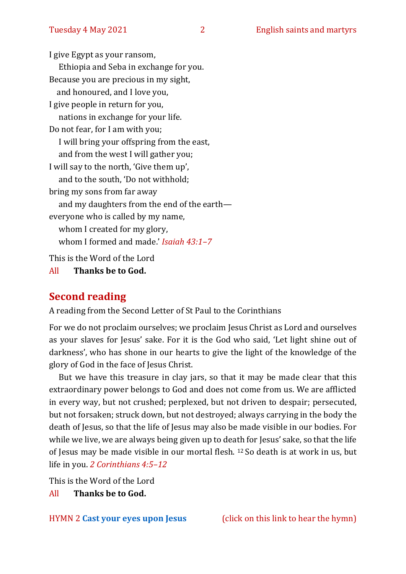I give Egypt as your ransom, Ethiopia and Seba in exchange for you. Because you are precious in my sight, and honoured, and I love you, I give people in return for you, nations in exchange for your life. Do not fear, for I am with you; I will bring your offspring from the east, and from the west I will gather you; I will say to the north, 'Give them up', and to the south, 'Do not withhold; bring my sons from far away and my daughters from the end of the earth everyone who is called by my name, whom I created for my glory, whom I formed and made.' *Isaiah 43:1–7* 

This is the Word of the Lord

All **Thanks be to God.**

#### **Second reading**

A reading from the Second Letter of St Paul to the Corinthians

For we do not proclaim ourselves; we proclaim Jesus Christ as Lord and ourselves as your slaves for Jesus' sake. For it is the God who said, 'Let light shine out of darkness', who has shone in our hearts to give the light of the knowledge of the glory of God in the face of Jesus Christ.

But we have this treasure in clay jars, so that it may be made clear that this extraordinary power belongs to God and does not come from us. We are afflicted in every way, but not crushed; perplexed, but not driven to despair; persecuted, but not forsaken; struck down, but not destroyed; always carrying in the body the death of Jesus, so that the life of Jesus may also be made visible in our bodies. For while we live, we are always being given up to death for Jesus' sake, so that the life of Jesus may be made visible in our mortal flesh. <sup>12</sup> So death is at work in us, but life in you. *2 Corinthians 4:5–12* 

This is the Word of the Lord

All **Thanks be to God.**

HYMN 2 **[Cast your eyes upon Jesus](https://www.youtube.com/watch?v=eg4emf9xc2c)** (click on this link to hear the hymn)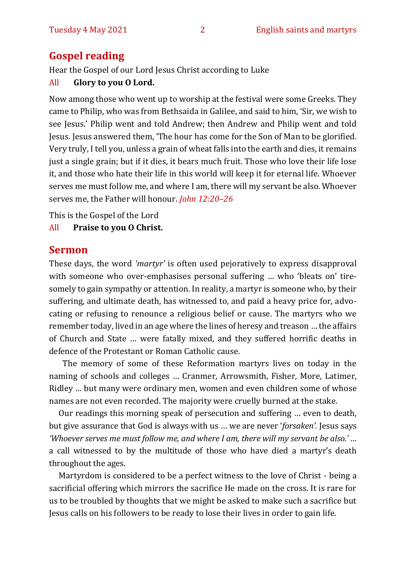# **Gospel reading**

Hear the Gospel of our Lord Jesus Christ according to Luke

#### All **Glory to you O Lord.**

Now among those who went up to worship at the festival were some Greeks. They came to Philip, who was from Bethsaida in Galilee, and said to him, 'Sir, we wish to see Jesus.' Philip went and told Andrew; then Andrew and Philip went and told Jesus. Jesus answered them, 'The hour has come for the Son of Man to be glorified. Very truly, I tell you, unless a grain of wheat falls into the earth and dies, it remains just a single grain; but if it dies, it bears much fruit. Those who love their life lose it, and those who hate their life in this world will keep it for eternal life. Whoever serves me must follow me, and where I am, there will my servant be also. Whoever serves me, the Father will honour. *John 12:20–26*

This is the Gospel of the Lord

All **Praise to you O Christ.** 

# **Sermon**

These days, the word *'martyr'* is often used pejoratively to express disapproval with someone who over-emphasises personal suffering … who 'bleats on' tiresomely to gain sympathy or attention. In reality, a martyr is someone who, by their suffering, and ultimate death, has witnessed to, and paid a heavy price for, advocating or refusing to renounce a religious belief or cause. The martyrs who we remember today, lived in an age where the lines of heresy and treason … the affairs of Church and State … were fatally mixed, and they suffered horrific deaths in defence of the Protestant or Roman Catholic cause.

 The memory of some of these Reformation martyrs lives on today in the naming of schools and colleges … Cranmer, Arrowsmith, Fisher, More, Latimer, Ridley … but many were ordinary men, women and even children some of whose names are not even recorded. The majority were cruelly burned at the stake.

Our readings this morning speak of persecution and suffering … even to death, but give assurance that God is always with us … we are never '*forsaken'.* Jesus says *'Whoever serves me must follow me, and where I am, there will my servant be also.' …* a call witnessed to by the multitude of those who have died a martyr's death throughout the ages.

Martyrdom is considered to be a perfect witness to the love of Christ - being a sacrificial offering which mirrors the sacrifice He made on the cross. It is rare for us to be troubled by thoughts that we might be asked to make such a sacrifice but Jesus calls on his followers to be ready to lose their lives in order to gain life.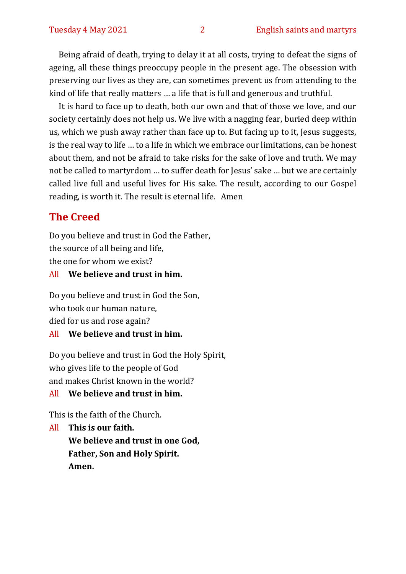Being afraid of death, trying to delay it at all costs, trying to defeat the signs of ageing, all these things preoccupy people in the present age. The obsession with preserving our lives as they are, can sometimes prevent us from attending to the kind of life that really matters … a life that is full and generous and truthful.

It is hard to face up to death, both our own and that of those we love, and our society certainly does not help us. We live with a nagging fear, buried deep within us, which we push away rather than face up to. But facing up to it, Jesus suggests, is the real way to life … to a life in which we embrace our limitations, can be honest about them, and not be afraid to take risks for the sake of love and truth. We may not be called to martyrdom … to suffer death for Jesus' sake … but we are certainly called live full and useful lives for His sake. The result, according to our Gospel reading, is worth it. The result is eternal life. Amen

# **The Creed**

Do you believe and trust in God the Father, the source of all being and life, the one for whom we exist? All **We believe and trust in him.**

Do you believe and trust in God the Son, who took our human nature, died for us and rose again? All **We believe and trust in him.**

Do you believe and trust in God the Holy Spirit, who gives life to the people of God and makes Christ known in the world?

#### All **We believe and trust in him.**

This is the faith of the Church.

All **This is our faith. We believe and trust in one God, Father, Son and Holy Spirit. Amen.**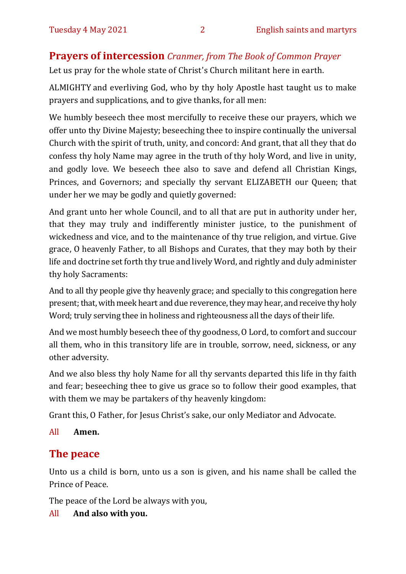# **Prayers of intercession** *Cranmer, from The Book of Common Prayer*

Let us pray for the whole state of Christ's Church militant here in earth.

ALMIGHTY and everliving God, who by thy holy Apostle hast taught us to make prayers and supplications, and to give thanks, for all men:

We humbly beseech thee most mercifully to receive these our prayers, which we offer unto thy Divine Majesty; beseeching thee to inspire continually the universal Church with the spirit of truth, unity, and concord: And grant, that all they that do confess thy holy Name may agree in the truth of thy holy Word, and live in unity, and godly love. We beseech thee also to save and defend all Christian Kings, Princes, and Governors; and specially thy servant ELIZABETH our Queen; that under her we may be godly and quietly governed:

And grant unto her whole Council, and to all that are put in authority under her, that they may truly and indifferently minister justice, to the punishment of wickedness and vice, and to the maintenance of thy true religion, and virtue. Give grace, O heavenly Father, to all Bishops and Curates, that they may both by their life and doctrine set forth thy true and lively Word, and rightly and duly administer thy holy Sacraments:

And to all thy people give thy heavenly grace; and specially to this congregation here present; that, with meek heart and due reverence, they may hear, and receive thy holy Word; truly serving thee in holiness and righteousness all the days of their life.

And we most humbly beseech thee of thy goodness, O Lord, to comfort and succour all them, who in this transitory life are in trouble, sorrow, need, sickness, or any other adversity.

And we also bless thy holy Name for all thy servants departed this life in thy faith and fear; beseeching thee to give us grace so to follow their good examples, that with them we may be partakers of thy heavenly kingdom:

Grant this, O Father, for Jesus Christ's sake, our only Mediator and Advocate.

All **Amen.**

# **The peace**

Unto us a child is born, unto us a son is given, and his name shall be called the Prince of Peace.

The peace of the Lord be always with you,

#### All **And also with you.**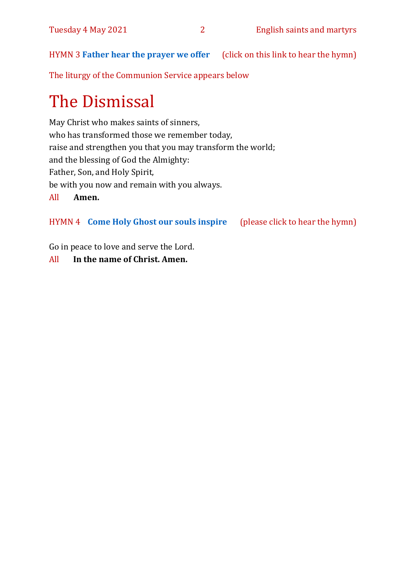HYMN 3 **[Father hear the prayer we offer](https://www.youtube.com/watch?v=xQsFc0kZoYM&feature=youtu.be)** (click on this link to hear the hymn)

The liturgy of the Communion Service appears below

# The Dismissal

May Christ who makes saints of sinners, who has transformed those we remember today, raise and strengthen you that you may transform the world; and the blessing of God the Almighty: Father, Son, and Holy Spirit, be with you now and remain with you always. All **Amen.**

HYMN 4 **[Come Holy Ghost our souls inspire](https://www.youtube.com/watch?v=kmRbc9cf-dw)** (please click to hear the hymn)

Go in peace to love and serve the Lord.

#### All **In the name of Christ. Amen.**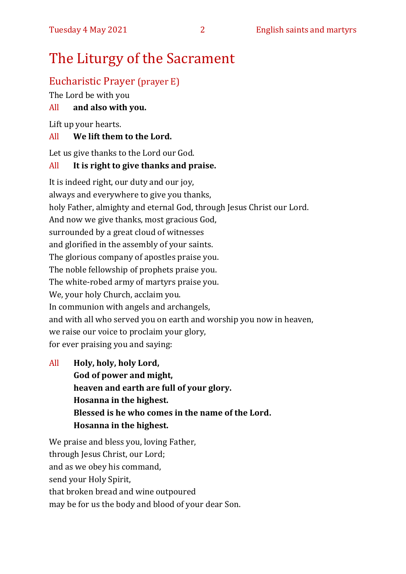# The Liturgy of the Sacrament

# Eucharistic Prayer (prayer E)

The Lord be with you

## All **and also with you.**

Lift up your hearts.

#### All **We lift them to the Lord.**

Let us give thanks to the Lord our God.

#### All **It is right to give thanks and praise.**

It is indeed right, our duty and our joy, always and everywhere to give you thanks, holy Father, almighty and eternal God, through Jesus Christ our Lord. And now we give thanks, most gracious God, surrounded by a great cloud of witnesses and glorified in the assembly of your saints. The glorious company of apostles praise you. The noble fellowship of prophets praise you. The white-robed army of martyrs praise you. We, your holy Church, acclaim you. In communion with angels and archangels, and with all who served you on earth and worship you now in heaven, we raise our voice to proclaim your glory, for ever praising you and saying:

All **Holy, holy, holy Lord, God of power and might, heaven and earth are full of your glory. Hosanna in the highest. Blessed is he who comes in the name of the Lord. Hosanna in the highest.**

We praise and bless you, loving Father, through Jesus Christ, our Lord; and as we obey his command, send your Holy Spirit, that broken bread and wine outpoured may be for us the body and blood of your dear Son.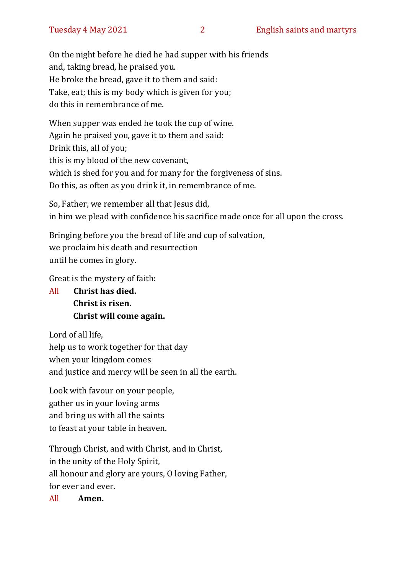On the night before he died he had supper with his friends and, taking bread, he praised you. He broke the bread, gave it to them and said: Take, eat; this is my body which is given for you; do this in remembrance of me.

When supper was ended he took the cup of wine. Again he praised you, gave it to them and said: Drink this, all of you; this is my blood of the new covenant, which is shed for you and for many for the forgiveness of sins. Do this, as often as you drink it, in remembrance of me.

So, Father, we remember all that Jesus did, in him we plead with confidence his sacrifice made once for all upon the cross.

Bringing before you the bread of life and cup of salvation, we proclaim his death and resurrection until he comes in glory.

Great is the mystery of faith:

All **Christ has died. Christ is risen. Christ will come again.**

Lord of all life, help us to work together for that day when your kingdom comes and justice and mercy will be seen in all the earth.

Look with favour on your people, gather us in your loving arms and bring us with all the saints to feast at your table in heaven.

Through Christ, and with Christ, and in Christ, in the unity of the Holy Spirit, all honour and glory are yours, O loving Father, for ever and ever.

All **Amen.**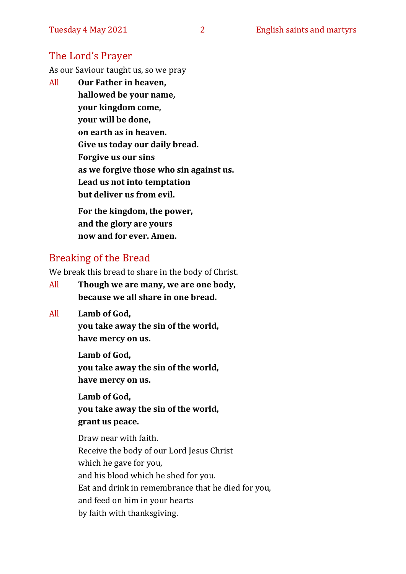# The Lord's Prayer

As our Saviour taught us, so we pray

All **Our Father in heaven, hallowed be your name, your kingdom come, your will be done, on earth as in heaven. Give us today our daily bread. Forgive us our sins as we forgive those who sin against us. Lead us not into temptation but deliver us from evil. For the kingdom, the power,** 

**and the glory are yours now and for ever. Amen.**

## Breaking of the Bread

We break this bread to share in the body of Christ.

- All **Though we are many, we are one body, because we all share in one bread.**
- All **Lamb of God,**

**you take away the sin of the world, have mercy on us.**

**Lamb of God, you take away the sin of the world, have mercy on us.**

**Lamb of God, you take away the sin of the world, grant us peace.**

Draw near with faith. Receive the body of our Lord Jesus Christ which he gave for you, and his blood which he shed for you. Eat and drink in remembrance that he died for you, and feed on him in your hearts by faith with thanksgiving.